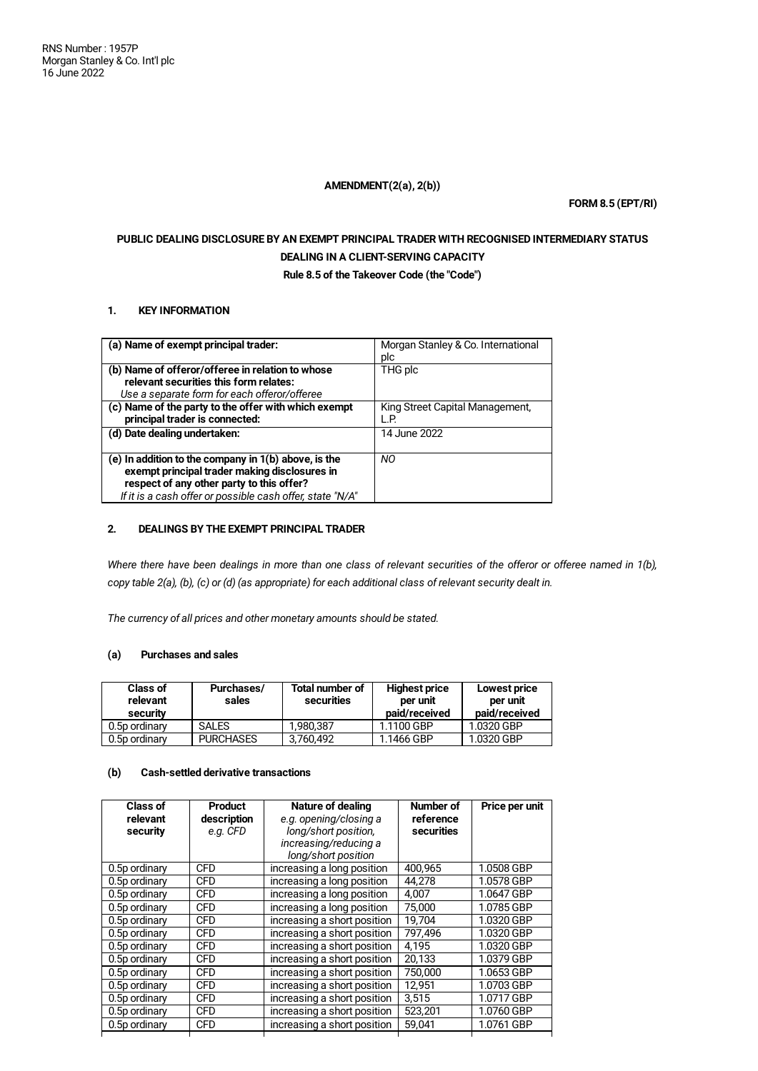## **AMENDMENT(2(a), 2(b))**

**FORM 8.5 (EPT/RI)**

# **PUBLIC DEALING DISCLOSURE BY AN EXEMPT PRINCIPAL TRADER WITH RECOGNISED INTERMEDIARY STATUS DEALING IN A CLIENT-SERVING CAPACITY**

**Rule 8.5 of the Takeover Code (the "Code")**

## **1. KEY INFORMATION**

| (a) Name of exempt principal trader:                      | Morgan Stanley & Co. International |
|-----------------------------------------------------------|------------------------------------|
|                                                           | plc                                |
| (b) Name of offeror/offeree in relation to whose          | THG plc                            |
| relevant securities this form relates:                    |                                    |
| Use a separate form for each offeror/offeree              |                                    |
| (c) Name of the party to the offer with which exempt      | King Street Capital Management,    |
| principal trader is connected:                            | L.P.                               |
| (d) Date dealing undertaken:                              | 14 June 2022                       |
|                                                           |                                    |
| (e) In addition to the company in 1(b) above, is the      | NO.                                |
| exempt principal trader making disclosures in             |                                    |
| respect of any other party to this offer?                 |                                    |
| If it is a cash offer or possible cash offer, state "N/A" |                                    |

## **2. DEALINGS BY THE EXEMPT PRINCIPAL TRADER**

Where there have been dealings in more than one class of relevant securities of the offeror or offeree named in 1(b), copy table 2(a), (b), (c) or (d) (as appropriate) for each additional class of relevant security dealt in.

*The currency of all prices and other monetary amounts should be stated.*

## **(a) Purchases and sales**

| <b>Class of</b><br>relevant<br>security | Purchases/<br>sales | <b>Total number of</b><br>securities | <b>Highest price</b><br>per unit<br>paid/received | Lowest price<br>per unit<br>paid/received |
|-----------------------------------------|---------------------|--------------------------------------|---------------------------------------------------|-------------------------------------------|
| 0.5p ordinary                           | <b>SALES</b>        | 1.980.387                            | 1.1100 GBP                                        | 1.0320 GBP                                |
| 0.5p ordinary                           | <b>PURCHASES</b>    | 3,760,492                            | 1.1466 GBP                                        | 1.0320 GBP                                |

# **(b) Cash-settled derivative transactions**

| Class of<br>relevant<br>security | <b>Product</b><br>description<br>e.g. CFD | Nature of dealing<br>e.g. opening/closing a<br>long/short position,<br>increasing/reducing a<br>long/short position | Number of<br>reference<br>securities | Price per unit |
|----------------------------------|-------------------------------------------|---------------------------------------------------------------------------------------------------------------------|--------------------------------------|----------------|
| 0.5p ordinary                    | <b>CFD</b>                                | increasing a long position                                                                                          | 400.965                              | 1.0508 GBP     |
| 0.5p ordinary                    | <b>CFD</b>                                | increasing a long position                                                                                          | 44.278                               | 1.0578 GBP     |
| 0.5p ordinary                    | <b>CFD</b>                                | increasing a long position                                                                                          | 4.007                                | 1.0647 GBP     |
| 0.5p ordinary                    | <b>CFD</b>                                | increasing a long position                                                                                          | 75.000                               | 1.0785 GBP     |
| 0.5p ordinary                    | <b>CFD</b>                                | increasing a short position                                                                                         | 19.704                               | 1.0320 GBP     |
| 0.5p ordinary                    | <b>CFD</b>                                | increasing a short position                                                                                         | 797.496                              | 1.0320 GBP     |
| 0.5p ordinary                    | <b>CFD</b>                                | increasing a short position                                                                                         | 4.195                                | 1.0320 GBP     |
| 0.5p ordinary                    | <b>CFD</b>                                | increasing a short position                                                                                         | 20.133                               | 1.0379 GBP     |
| 0.5p ordinary                    | <b>CFD</b>                                | increasing a short position                                                                                         | 750,000                              | 1.0653 GBP     |
| 0.5p ordinary                    | <b>CFD</b>                                | increasing a short position                                                                                         | 12,951                               | 1.0703 GBP     |
| 0.5p ordinary                    | <b>CFD</b>                                | increasing a short position                                                                                         | 3.515                                | 1.0717 GBP     |
| 0.5p ordinary                    | <b>CFD</b>                                | increasing a short position                                                                                         | 523,201                              | 1.0760 GBP     |
| 0.5p ordinary                    | <b>CFD</b>                                | increasing a short position                                                                                         | 59,041                               | 1.0761 GBP     |
|                                  |                                           |                                                                                                                     |                                      |                |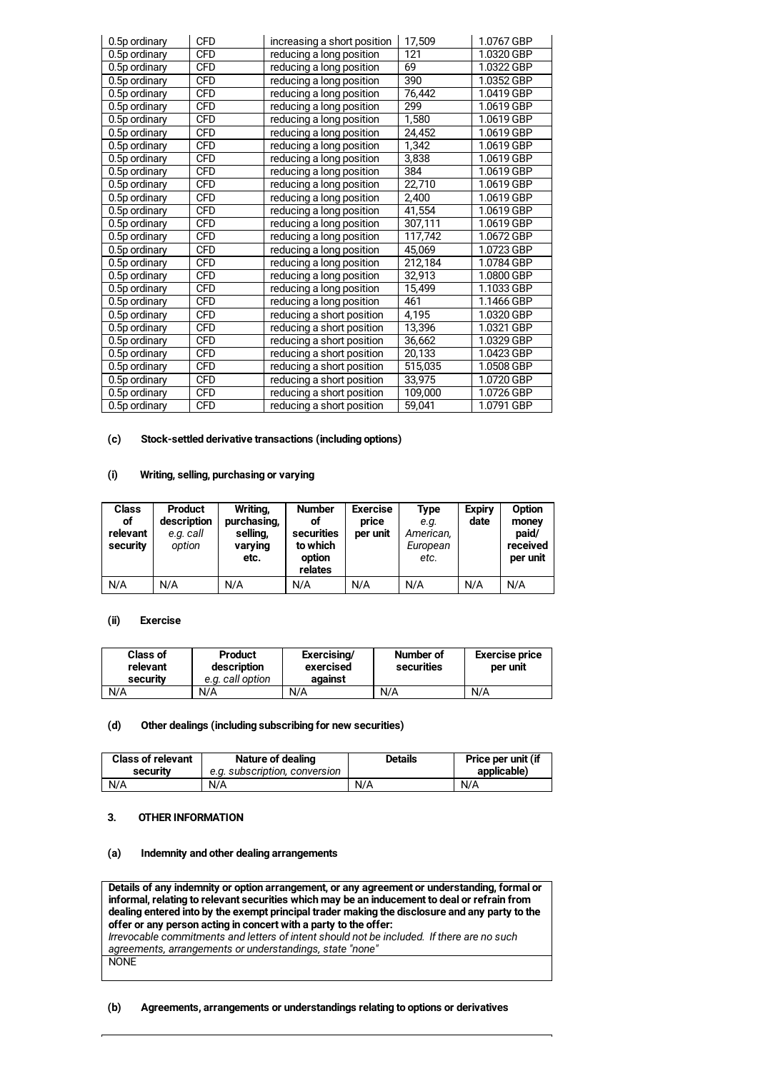| 0.5p ordinary | <b>CFD</b> | increasing a short position | 17,509  | 1.0767 GBP |
|---------------|------------|-----------------------------|---------|------------|
| 0.5p ordinary | <b>CFD</b> | reducing a long position    | 121     | 1.0320 GBP |
| 0.5p ordinary | <b>CFD</b> | reducing a long position    | 69      | 1.0322 GBP |
| 0.5p ordinary | <b>CFD</b> | reducing a long position    | 390     | 1.0352 GBP |
| 0.5p ordinary | <b>CFD</b> | reducing a long position    | 76,442  | 1.0419 GBP |
| 0.5p ordinary | <b>CFD</b> | reducing a long position    | 299     | 1.0619 GBP |
| 0.5p ordinary | <b>CFD</b> | reducing a long position    | 1,580   | 1.0619 GBP |
| 0.5p ordinary | <b>CFD</b> | reducing a long position    | 24,452  | 1.0619 GBP |
| 0.5p ordinary | <b>CFD</b> | reducing a long position    | 1,342   | 1.0619 GBP |
| 0.5p ordinary | <b>CFD</b> | reducing a long position    | 3,838   | 1.0619 GBP |
| 0.5p ordinary | <b>CFD</b> | reducing a long position    | 384     | 1.0619 GBP |
| 0.5p ordinary | <b>CFD</b> | reducing a long position    | 22,710  | 1.0619 GBP |
| 0.5p ordinary | <b>CFD</b> | reducing a long position    | 2,400   | 1.0619 GBP |
| 0.5p ordinary | <b>CFD</b> | reducing a long position    | 41,554  | 1.0619 GBP |
| 0.5p ordinary | <b>CFD</b> | reducing a long position    | 307,111 | 1.0619 GBP |
| 0.5p ordinary | <b>CFD</b> | reducing a long position    | 117,742 | 1.0672 GBP |
| 0.5p ordinary | <b>CFD</b> | reducing a long position    | 45,069  | 1.0723 GBP |
| 0.5p ordinary | <b>CFD</b> | reducing a long position    | 212,184 | 1.0784 GBP |
| 0.5p ordinary | <b>CFD</b> | reducing a long position    | 32,913  | 1.0800 GBP |
| 0.5p ordinary | <b>CFD</b> | reducing a long position    | 15,499  | 1.1033 GBP |
| 0.5p ordinary | <b>CFD</b> | reducing a long position    | 461     | 1.1466 GBP |
| 0.5p ordinary | <b>CFD</b> | reducing a short position   | 4,195   | 1.0320 GBP |
| 0.5p ordinary | <b>CFD</b> | reducing a short position   | 13,396  | 1.0321 GBP |
| 0.5p ordinary | <b>CFD</b> | reducing a short position   | 36,662  | 1.0329 GBP |
| 0.5p ordinary | <b>CFD</b> | reducing a short position   | 20,133  | 1.0423 GBP |
| 0.5p ordinary | <b>CFD</b> | reducing a short position   | 515,035 | 1.0508 GBP |
| 0.5p ordinary | <b>CFD</b> | reducing a short position   | 33,975  | 1.0720 GBP |
| 0.5p ordinary | <b>CFD</b> | reducing a short position   | 109,000 | 1.0726 GBP |
| 0.5p ordinary | <b>CFD</b> | reducing a short position   | 59,041  | 1.0791 GBP |

## **(c) Stock-settled derivative transactions (including options)**

#### **(i) Writing, selling, purchasing or varying**

| <b>Class</b><br>οf<br>relevant<br>security | <b>Product</b><br>description<br>e.g. call<br>option | Writing,<br>purchasing,<br>selling,<br>varying<br>etc. | <b>Number</b><br>οf<br>securities<br>to which<br>option<br>relates | <b>Exercise</b><br>price<br>per unit | Type<br>e.g.<br>American,<br>European<br>etc. | <b>Expiry</b><br>date | Option<br>money<br>paid/<br>received<br>per unit |
|--------------------------------------------|------------------------------------------------------|--------------------------------------------------------|--------------------------------------------------------------------|--------------------------------------|-----------------------------------------------|-----------------------|--------------------------------------------------|
| N/A                                        | N/A                                                  | N/A                                                    | N/A                                                                | N/A                                  | N/A                                           | N/A                   | N/A                                              |

## **(ii) Exercise**

| <b>Class of</b><br>relevant<br>security | Product<br>description<br>e.g. call option | Exercising/<br>exercised<br>against | Number of<br>securities | <b>Exercise price</b><br>per unit |
|-----------------------------------------|--------------------------------------------|-------------------------------------|-------------------------|-----------------------------------|
| N/A                                     | N/A                                        | N/A                                 | N/A                     | N/A                               |

#### **(d) Other dealings (including subscribing for new securities)**

| <b>Class of relevant</b> | Nature of dealing             | <b>Details</b> | Price per unit (if |
|--------------------------|-------------------------------|----------------|--------------------|
| security                 | e.a. subscription, conversion |                | applicable)        |
| N/A                      | N/A                           | N/A            | N/A                |

## **3. OTHER INFORMATION**

#### **(a) Indemnity and other dealing arrangements**

**Details of any indemnity or option arrangement, or any agreement or understanding, formal or informal, relating to relevant securities which may be an inducement to deal or refrain from dealing entered into by the exempt principal trader making the disclosure and any party to the offer or any person acting in concert with a party to the offer:** *Irrevocable commitments and letters of intent should not be included. If there are no such agreements, arrangements or understandings, state "none"* **NONE** 

### **(b) Agreements, arrangements or understandings relating to options or derivatives**